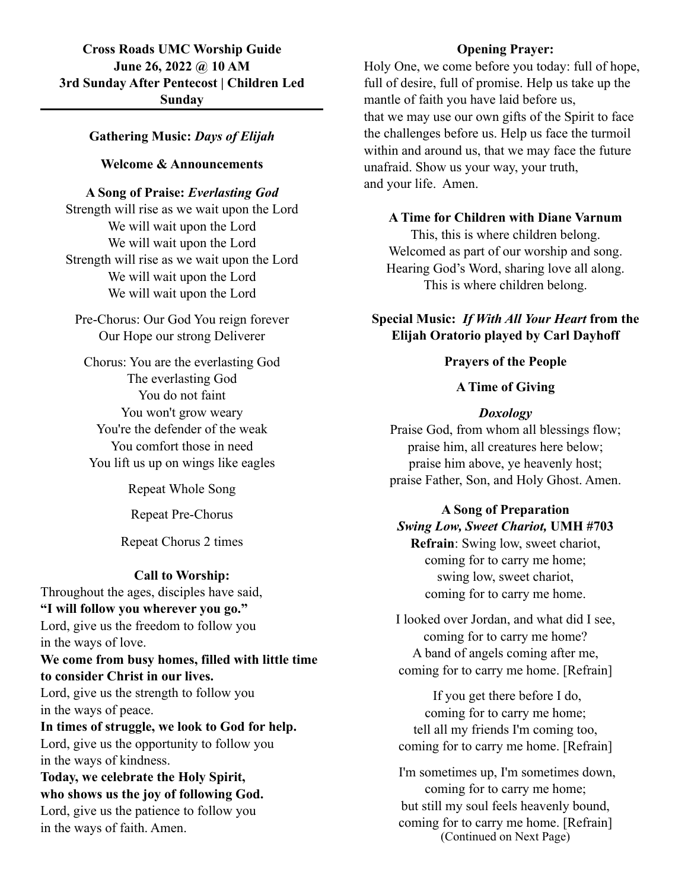## **Cross Roads UMC Worship Guide June 26, 2022 @ 10 AM 3rd Sunday After Pentecost | Children Led Sunday**

## **Gathering Music:** *Days of Elijah*

#### **Welcome & Announcements**

#### **A Song of Praise:** *Everlasting God*

Strength will rise as we wait upon the Lord We will wait upon the Lord We will wait upon the Lord Strength will rise as we wait upon the Lord We will wait upon the Lord We will wait upon the Lord

Pre-Chorus: Our God You reign forever Our Hope our strong Deliverer

Chorus: You are the everlasting God The everlasting God You do not faint You won't grow weary You're the defender of the weak You comfort those in need You lift us up on wings like eagles

Repeat Whole Song

Repeat Pre-Chorus

Repeat Chorus 2 times

## **Call to Worship:**

Throughout the ages, disciples have said, **"I will follow you wherever you go."** Lord, give us the freedom to follow you in the ways of love.

## **We come from busy homes, filled with little time to consider Christ in our lives.**

Lord, give us the strength to follow you in the ways of peace.

**In times of struggle, we look to God for help.** Lord, give us the opportunity to follow you in the ways of kindness.

**Today, we celebrate the Holy Spirit, who shows us the joy of following God.** Lord, give us the patience to follow you in the ways of faith. Amen.

## **Opening Prayer:**

Holy One, we come before you today: full of hope, full of desire, full of promise. Help us take up the mantle of faith you have laid before us, that we may use our own gifts of the Spirit to face the challenges before us. Help us face the turmoil within and around us, that we may face the future unafraid. Show us your way, your truth, and your life. Amen.

## **A Time for Children with Diane Varnum**

This, this is where children belong. Welcomed as part of our worship and song. Hearing God's Word, sharing love all along. This is where children belong.

## **Special Music:** *If With All Your Heart* **from the Elijah Oratorio played by Carl Dayhoff**

#### **Prayers of the People**

#### **A Time of Giving**

#### *Doxology*

Praise God, from whom all blessings flow; praise him, all creatures here below; praise him above, ye heavenly host; praise Father, Son, and Holy Ghost. Amen.

#### **A Song of Preparation**

*Swing Low, Sweet Chariot,* **UMH #703 Refrain**: Swing low, sweet chariot, coming for to carry me home; swing low, sweet chariot, coming for to carry me home.

I looked over Jordan, and what did I see, coming for to carry me home? A band of angels coming after me, coming for to carry me home. [Refrain]

 If you get there before I do, coming for to carry me home; tell all my friends I'm coming too, coming for to carry me home. [Refrain]

 I'm sometimes up, I'm sometimes down, coming for to carry me home; but still my soul feels heavenly bound, coming for to carry me home. [Refrain] (Continued on Next Page)